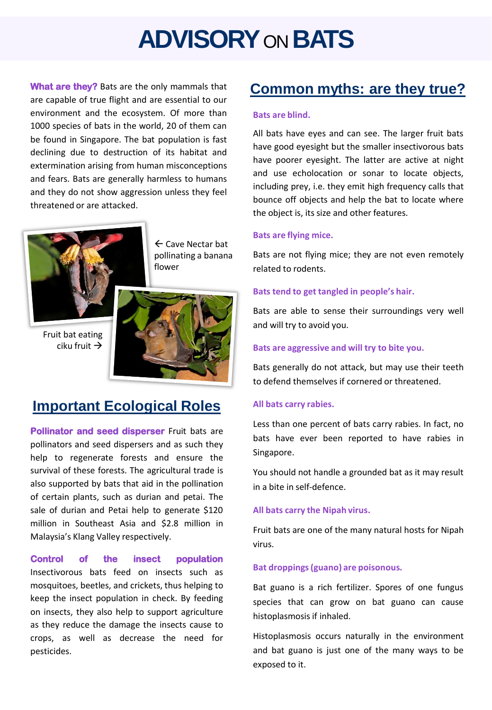# **ADVISORY**ON **BATS**

are capable of true flight and are essential to our environment and the ecosystem. Of more than 1000 species of bats in the world, 20 of them can be found in Singapore. The bat population is fast declining due to destruction of its habitat and extermination arising from human misconceptions and fears. Bats are generally harmless to humans and they do not show aggression unless they feel threatened or are attacked.



 $\leftarrow$  Cave Nectar bat pollinating a banana flower

Fruit bat eating ciku fruit  $\rightarrow$ 



# **Important Ecological Roles**

**Pollinator and seed disperser** Fruit bats are pollinators and seed dispersers and as such they help to regenerate forests and ensure the survival of these forests. The agricultural trade is also supported by bats that aid in the pollination of certain plants, such as durian and petai. The sale of durian and Petai help to generate \$120 million in Southeast Asia and \$2.8 million in Malaysia's Klang Valley respectively.

## **Control of the insect population**

Insectivorous bats feed on insects such as mosquitoes, beetles, and crickets, thus helping to keep the insect population in check. By feeding on insects, they also help to support agriculture as they reduce the damage the insects cause to crops, as well as decrease the need for pesticides.

# What are they? Bats are the only mammals that **Common myths: are they true?**

#### **Bats are blind.**

All bats have eyes and can see. The larger fruit bats have good eyesight but the smaller insectivorous bats have poorer eyesight. The latter are active at night and use echolocation or sonar to locate objects, including prey, i.e. they emit high frequency calls that bounce off objects and help the bat to locate where the object is, its size and other features.

### **Bats are flying mice.**

Bats are not flying mice; they are not even remotely related to rodents.

#### **Bats tend to get tangled in people's hair.**

Bats are able to sense their surroundings very well and will try to avoid you.

#### **Bats are aggressive and will try to bite you.**

Bats generally do not attack, but may use their teeth to defend themselves if cornered or threatened.

#### **All bats carry rabies.**

Less than one percent of bats carry rabies. In fact, no bats have ever been reported to have rabies in Singapore.

You should not handle a grounded bat as it may result in a bite in self-defence.

#### **All bats carry the Nipah virus.**

Fruit bats are one of the many natural hosts for Nipah virus.

#### **Bat droppings(guano) are poisonous.**

Bat guano is a rich fertilizer. Spores of one fungus species that can grow on bat guano can cause histoplasmosis if inhaled.

Histoplasmosis occurs naturally in the environment and bat guano is just one of the many ways to be exposed to it.